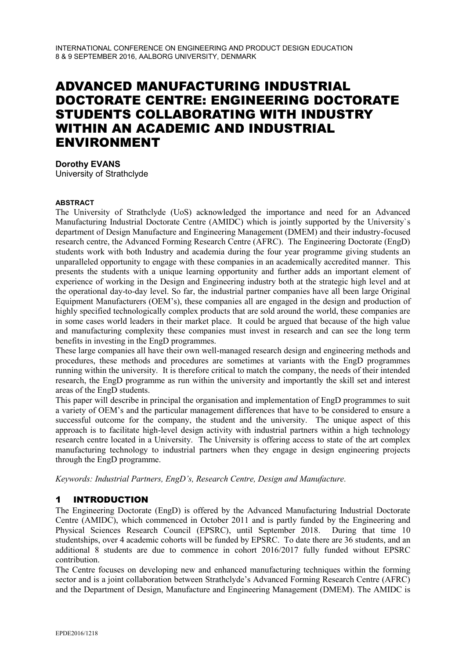# ADVANCED MANUFACTURING INDUSTRIAL DOCTORATE CENTRE: ENGINEERING DOCTORATE STUDENTS COLLABORATING WITH INDUSTRY WITHIN AN ACADEMIC AND INDUSTRIAL ENVIRONMENT

**Dorothy EVANS** University of Strathclyde

#### **ABSTRACT**

The University of Strathclyde (UoS) acknowledged the importance and need for an Advanced Manufacturing Industrial Doctorate Centre (AMIDC) which is jointly supported by the University`s department of Design Manufacture and Engineering Management (DMEM) and their industry-focused research centre, the Advanced Forming Research Centre (AFRC). The Engineering Doctorate (EngD) students work with both Industry and academia during the four year programme giving students an unparalleled opportunity to engage with these companies in an academically accredited manner. This presents the students with a unique learning opportunity and further adds an important element of experience of working in the Design and Engineering industry both at the strategic high level and at the operational day-to-day level. So far, the industrial partner companies have all been large Original Equipment Manufacturers (OEM's), these companies all are engaged in the design and production of highly specified technologically complex products that are sold around the world, these companies are in some cases world leaders in their market place. It could be argued that because of the high value and manufacturing complexity these companies must invest in research and can see the long term benefits in investing in the EngD programmes.

These large companies all have their own well-managed research design and engineering methods and procedures, these methods and procedures are sometimes at variants with the EngD programmes running within the university. It is therefore critical to match the company, the needs of their intended research, the EngD programme as run within the university and importantly the skill set and interest areas of the EngD students.

This paper will describe in principal the organisation and implementation of EngD programmes to suit a variety of OEM's and the particular management differences that have to be considered to ensure a successful outcome for the company, the student and the university. The unique aspect of this approach is to facilitate high-level design activity with industrial partners within a high technology research centre located in a University. The University is offering access to state of the art complex manufacturing technology to industrial partners when they engage in design engineering projects through the EngD programme.

*Keywords: Industrial Partners, EngD's, Research Centre, Design and Manufacture.*

## 1 INTRODUCTION

The Engineering Doctorate (EngD) is offered by the Advanced Manufacturing Industrial Doctorate Centre (AMIDC), which commenced in October 2011 and is partly funded by the Engineering and Physical Sciences Research Council (EPSRC), until September 2018. During that time 10 studentships, over 4 academic cohorts will be funded by EPSRC. To date there are 36 students, and an additional 8 students are due to commence in cohort 2016/2017 fully funded without EPSRC contribution.

The Centre focuses on developing new and enhanced manufacturing techniques within the forming sector and is a joint collaboration between Strathclyde's Advanced Forming Research Centre (AFRC) and the Department of Design, Manufacture and Engineering Management (DMEM). The AMIDC is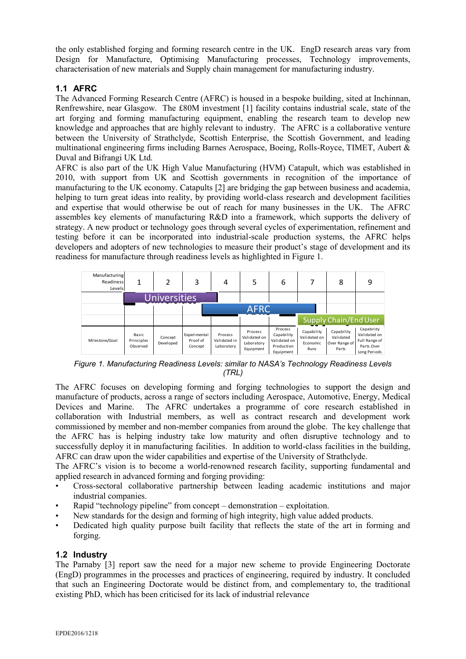the only established forging and forming research centre in the UK. EngD research areas vary from Design for Manufacture, Optimising Manufacturing processes, Technology improvements, characterisation of new materials and Supply chain management for manufacturing industry.

# **1.1 AFRC**

The Advanced Forming Research Centre (AFRC) is housed in a bespoke building, sited at Inchinnan, Renfrewshire, near Glasgow. The £80M investment [1] facility contains industrial scale, state of the art forging and forming manufacturing equipment, enabling the research team to develop new knowledge and approaches that are highly relevant to industry. The AFRC is a collaborative venture between the University of Strathclyde, Scottish Enterprise, the Scottish Government, and leading multinational engineering firms including Barnes Aerospace, Boeing, Rolls-Royce, TIMET, Aubert & Duval and Bifrangi UK Ltd.

AFRC is also part of the UK High Value Manufacturing (HVM) Catapult, which was established in 2010, with support from UK and Scottish governments in recognition of the importance of manufacturing to the UK economy. Catapults [2] are bridging the gap between business and academia, helping to turn great ideas into reality, by providing world-class research and development facilities and expertise that would otherwise be out of reach for many businesses in the UK. The AFRC assembles key elements of manufacturing R&D into a framework, which supports the delivery of strategy. A new product or technology goes through several cycles of experimentation, refinement and testing before it can be incorporated into industrial-scale production systems, the AFRC helps developers and adopters of new technologies to measure their product's stage of development and its readiness for manufacture through readiness levels as highlighted in Figure 1.



*Figure 1. Manufacturing Readiness Levels: similar to NASA's Technology Readiness Levels (TRL)*

The AFRC focuses on developing forming and forging technologies to support the design and manufacture of products, across a range of sectors including Aerospace, Automotive, Energy, Medical Devices and Marine. The AFRC undertakes a programme of core research established in collaboration with Industrial members, as well as contract research and development work commissioned by member and non-member companies from around the globe. The key challenge that the AFRC has is helping industry take low maturity and often disruptive technology and to successfully deploy it in manufacturing facilities. In addition to world-class facilities in the building, AFRC can draw upon the wider capabilities and expertise of the University of Strathclyde.

The AFRC's vision is to become a world-renowned research facility, supporting fundamental and applied research in advanced forming and forging providing:

- Cross-sectoral collaborative partnership between leading academic institutions and major industrial companies.
- Rapid "technology pipeline" from concept demonstration exploitation.
- New standards for the design and forming of high integrity, high value added products.
- Dedicated high quality purpose built facility that reflects the state of the art in forming and forging.

## **1.2 Industry**

The Parnaby [3] report saw the need for a major new scheme to provide Engineering Doctorate (EngD) programmes in the processes and practices of engineering, required by industry. It concluded that such an Engineering Doctorate would be distinct from, and complementary to, the traditional existing PhD, which has been criticised for its lack of industrial relevance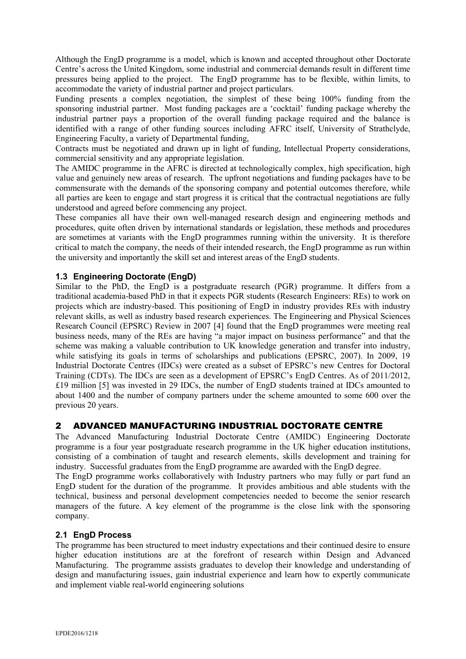Although the EngD programme is a model, which is known and accepted throughout other Doctorate Centre's across the United Kingdom, some industrial and commercial demands result in different time pressures being applied to the project. The EngD programme has to be flexible, within limits, to accommodate the variety of industrial partner and project particulars.

Funding presents a complex negotiation, the simplest of these being 100% funding from the sponsoring industrial partner. Most funding packages are a 'cocktail' funding package whereby the industrial partner pays a proportion of the overall funding package required and the balance is identified with a range of other funding sources including AFRC itself, University of Strathclyde, Engineering Faculty, a variety of Departmental funding,

Contracts must be negotiated and drawn up in light of funding, Intellectual Property considerations, commercial sensitivity and any appropriate legislation.

The AMIDC programme in the AFRC is directed at technologically complex, high specification, high value and genuinely new areas of research. The upfront negotiations and funding packages have to be commensurate with the demands of the sponsoring company and potential outcomes therefore, while all parties are keen to engage and start progress it is critical that the contractual negotiations are fully understood and agreed before commencing any project.

These companies all have their own well-managed research design and engineering methods and procedures, quite often driven by international standards or legislation, these methods and procedures are sometimes at variants with the EngD programmes running within the university. It is therefore critical to match the company, the needs of their intended research, the EngD programme as run within the university and importantly the skill set and interest areas of the EngD students.

## **1.3 Engineering Doctorate (EngD)**

Similar to the PhD, the EngD is a postgraduate research (PGR) programme. It differs from a traditional academia-based PhD in that it expects PGR students (Research Engineers: REs) to work on projects which are industry-based. This positioning of EngD in industry provides REs with industry relevant skills, as well as industry based research experiences. The Engineering and Physical Sciences Research Council (EPSRC) Review in 2007 [4] found that the EngD programmes were meeting real business needs, many of the REs are having "a major impact on business performance" and that the scheme was making a valuable contribution to UK knowledge generation and transfer into industry, while satisfying its goals in terms of scholarships and publications (EPSRC, 2007). In 2009, 19 Industrial Doctorate Centres (IDCs) were created as a subset of EPSRC's new Centres for Doctoral Training (CDTs). The IDCs are seen as a development of EPSRC's EngD Centres. As of 2011/2012, £19 million [5] was invested in 29 IDCs, the number of EngD students trained at IDCs amounted to about 1400 and the number of company partners under the scheme amounted to some 600 over the previous 20 years.

# 2 ADVANCED MANUFACTURING INDUSTRIAL DOCTORATE CENTRE

The Advanced Manufacturing Industrial Doctorate Centre (AMIDC) Engineering Doctorate programme is a four year postgraduate research programme in the UK higher education institutions, consisting of a combination of taught and research elements, skills development and training for industry. Successful graduates from the EngD programme are awarded with the EngD degree.

The EngD programme works collaboratively with Industry partners who may fully or part fund an EngD student for the duration of the programme. It provides ambitious and able students with the technical, business and personal development competencies needed to become the senior research managers of the future. A key element of the programme is the close link with the sponsoring company.

## **2.1 EngD Process**

The programme has been structured to meet industry expectations and their continued desire to ensure higher education institutions are at the forefront of research within Design and Advanced Manufacturing. The programme assists graduates to develop their knowledge and understanding of design and manufacturing issues, gain industrial experience and learn how to expertly communicate and implement viable real-world engineering solutions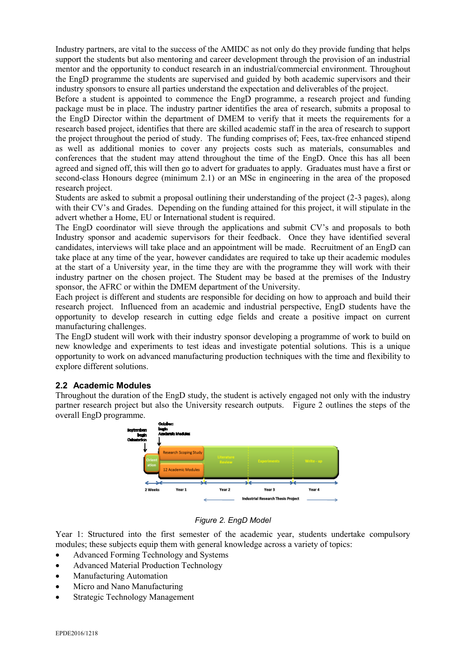Industry partners, are vital to the success of the AMIDC as not only do they provide funding that helps support the students but also mentoring and career development through the provision of an industrial mentor and the opportunity to conduct research in an industrial/commercial environment. Throughout the EngD programme the students are supervised and guided by both academic supervisors and their industry sponsors to ensure all parties understand the expectation and deliverables of the project.

Before a student is appointed to commence the EngD programme, a research project and funding package must be in place. The industry partner identifies the area of research, submits a proposal to the EngD Director within the department of DMEM to verify that it meets the requirements for a research based project, identifies that there are skilled academic staff in the area of research to support the project throughout the period of study. The funding comprises of; Fees, tax-free enhanced stipend as well as additional monies to cover any projects costs such as materials, consumables and conferences that the student may attend throughout the time of the EngD. Once this has all been agreed and signed off, this will then go to advert for graduates to apply. Graduates must have a first or second-class Honours degree (minimum 2.1) or an MSc in engineering in the area of the proposed research project.

Students are asked to submit a proposal outlining their understanding of the project (2-3 pages), along with their CV's and Grades. Depending on the funding attained for this project, it will stipulate in the advert whether a Home, EU or International student is required.

The EngD coordinator will sieve through the applications and submit CV's and proposals to both Industry sponsor and academic supervisors for their feedback. Once they have identified several candidates, interviews will take place and an appointment will be made. Recruitment of an EngD can take place at any time of the year, however candidates are required to take up their academic modules at the start of a University year, in the time they are with the programme they will work with their industry partner on the chosen project. The Student may be based at the premises of the Industry sponsor, the AFRC or within the DMEM department of the University.

Each project is different and students are responsible for deciding on how to approach and build their research project. Influenced from an academic and industrial perspective, EngD students have the opportunity to develop research in cutting edge fields and create a positive impact on current manufacturing challenges.

The EngD student will work with their industry sponsor developing a programme of work to build on new knowledge and experiments to test ideas and investigate potential solutions. This is a unique opportunity to work on advanced manufacturing production techniques with the time and flexibility to explore different solutions.

## **2.2 Academic Modules**

Throughout the duration of the EngD study, the student is actively engaged not only with the industry partner research project but also the University research outputs. Figure 2 outlines the steps of the overall EngD programme.



#### *Figure 2. EngD Model*

Year 1: Structured into the first semester of the academic year, students undertake compulsory modules; these subjects equip them with general knowledge across a variety of topics:

- Advanced Forming Technology and Systems
- Advanced Material Production Technology
- Manufacturing Automation
- Micro and Nano Manufacturing
- Strategic Technology Management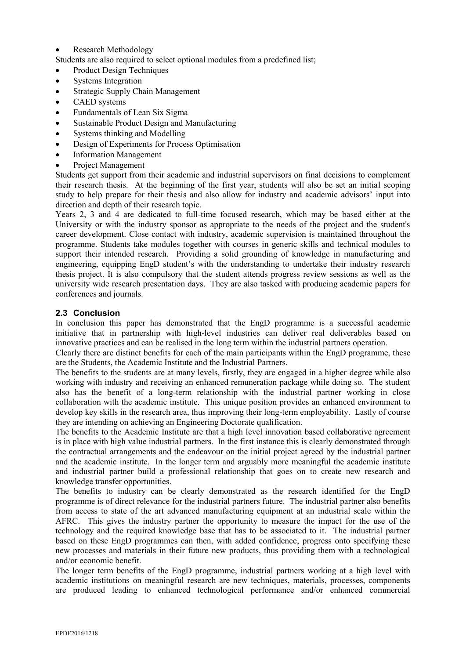• Research Methodology

Students are also required to select optional modules from a predefined list;

- Product Design Techniques
- Systems Integration
- Strategic Supply Chain Management
- CAED systems
- Fundamentals of Lean Six Sigma
- Sustainable Product Design and Manufacturing
- Systems thinking and Modelling
- Design of Experiments for Process Optimisation
- Information Management
- Project Management

Students get support from their academic and industrial supervisors on final decisions to complement their research thesis. At the beginning of the first year, students will also be set an initial scoping study to help prepare for their thesis and also allow for industry and academic advisors' input into direction and depth of their research topic.

Years 2, 3 and 4 are dedicated to full-time focused research, which may be based either at the University or with the industry sponsor as appropriate to the needs of the project and the student's career development. Close contact with industry, academic supervision is maintained throughout the programme. Students take modules together with courses in generic skills and technical modules to support their intended research. Providing a solid grounding of knowledge in manufacturing and engineering, equipping EngD student's with the understanding to undertake their industry research thesis project. It is also compulsory that the student attends progress review sessions as well as the university wide research presentation days. They are also tasked with producing academic papers for conferences and journals.

## **2.3 Conclusion**

In conclusion this paper has demonstrated that the EngD programme is a successful academic initiative that in partnership with high-level industries can deliver real deliverables based on innovative practices and can be realised in the long term within the industrial partners operation.

Clearly there are distinct benefits for each of the main participants within the EngD programme, these are the Students, the Academic Institute and the Industrial Partners.

The benefits to the students are at many levels, firstly, they are engaged in a higher degree while also working with industry and receiving an enhanced remuneration package while doing so. The student also has the benefit of a long-term relationship with the industrial partner working in close collaboration with the academic institute. This unique position provides an enhanced environment to develop key skills in the research area, thus improving their long-term employability. Lastly of course they are intending on achieving an Engineering Doctorate qualification.

The benefits to the Academic Institute are that a high level innovation based collaborative agreement is in place with high value industrial partners. In the first instance this is clearly demonstrated through the contractual arrangements and the endeavour on the initial project agreed by the industrial partner and the academic institute. In the longer term and arguably more meaningful the academic institute and industrial partner build a professional relationship that goes on to create new research and knowledge transfer opportunities.

The benefits to industry can be clearly demonstrated as the research identified for the EngD programme is of direct relevance for the industrial partners future. The industrial partner also benefits from access to state of the art advanced manufacturing equipment at an industrial scale within the AFRC. This gives the industry partner the opportunity to measure the impact for the use of the technology and the required knowledge base that has to be associated to it. The industrial partner based on these EngD programmes can then, with added confidence, progress onto specifying these new processes and materials in their future new products, thus providing them with a technological and/or economic benefit.

The longer term benefits of the EngD programme, industrial partners working at a high level with academic institutions on meaningful research are new techniques, materials, processes, components are produced leading to enhanced technological performance and/or enhanced commercial